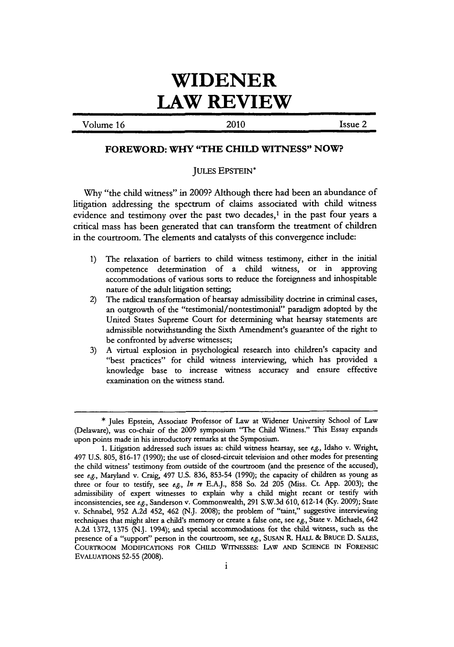## **WIDENER LAW REVIEW**

Volume **16** 2010 Issue 2

## **FOREWORD: WHY "THE CHILD WITNESS" NOW?**

## JULES EPSTEIN\*

**Why** "the child witness" in **2009?** Although there had been an abundance of litigation addressing the spectrum of claims associated with child witness evidence and testimony over the past two decades,<sup>1</sup> in the past four years a critical mass has been generated that can transform the treatment of children in the courtroom. The elements and catalysts of this convergence include:

- **1)** The relaxation of barriers to child witness testimony, either in the initial competence determination of a child witness, or in approving accommodations of various sorts to reduce the foreignness and inhospitable nature of the adult litigation setting;
- 2) The radical transformation of hearsay admissibility doctrine in criminal cases, an outgrowth of the "testimonial/nontestimonial" paradigm adopted **by** the United States Supreme Court for determining what hearsay statements are admissible notwithstanding the Sixth Amendment's guarantee of the right to be confronted **by** adverse witnesses;
- **3) A** virtual explosion in psychological research into children's capacity and "best practices" for child witness interviewing, which has provided a knowledge base to increase witness accuracy and ensure effective examination on the witness stand.

**<sup>\*</sup>** Jules Epstein, Associate Professor of Law at Widener University School of Law (Delaware), was co-chair of the **2009** symposium "The Child Witness." This Essay expands upon points made in his introductory remarks at the Symposium.

**<sup>1.</sup>** Litigation addressed such issues as: child witness hearsay, see *e.g.,* Idaho v. Wright, 497 **U.S. 805, 816-17 (1990);** the use of closed-circuit television and other modes for presenting the child witness' testimony from outside of the courtroom (and the presence of the accused), see *e.g.,* Maryland v. Craig, 497 **U.S. 836, 853-54 (1990);** the capacity of children as young as three or four to testify, see *e.g., In me* **E.A.J., 858** So. **2d 205** (Miss. Ct. **App. 2003);** the admissibility of expert witnesses to explain why a child might recant or testify with inconsistencies, see *e.g.,* Sanderson v. Commonwealth, **291 S.W.3d 610,** 612-14 **(Ky. 2009);** State v. Schnabel, **952 A.2d** 452, 462 **(N.J. 2008);** the problem of "taint," suggestive interviewing techniques that might alter a child's memory or create a false one, see *e.g.,* State v. Michaels, 642 **A.2d 1372, 1375 (N.J.** 1994); and special accommodations for the child witness, such as the presence of a "support" person in the courtroom, see *e.g.,* SUSAN R. **HALL & BRUCE D. SALES,** COURTROOM **MODIFICATIONS** FOR **CHILD WITNESSES: LAW AND SCIENCE IN FORENSIC** EVALUATIONs **52-55 (2008).**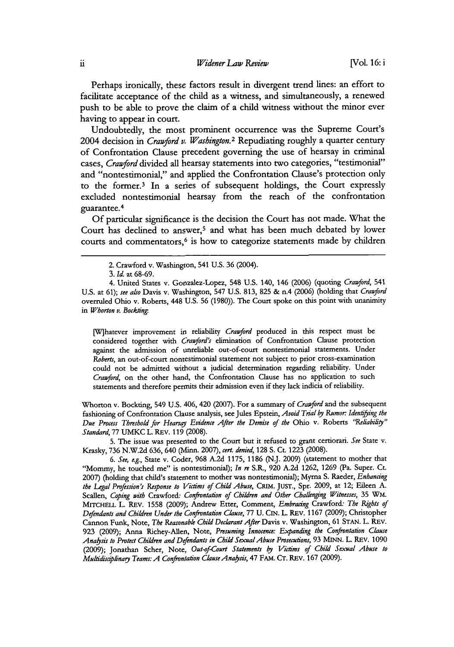Perhaps ironically, these factors result in divergent trend lines: an effort to facilitate acceptance of the child as a witness, and simultaneously, a renewed push to be able to prove the claim of a child witness **without** the minor ever having to appear in court.

Undoubtedly, the most prominent occurrence was the Supreme Court's 2004 decision in *Crawford v. Wasbington.2* Repudiating roughly a quarter century of Confrontation Clause precedent governing the use of hearsay in criminal cases, *Crawford* divided all hearsay statements into two categories, "testimonial" and "nontestimonial," and applied the Confrontation Clause's protection only to the former.3 In a series of subsequent holdings, the Court expressly excluded nontestimonial hearsay from the reach of the confrontation guarantee. <sup>4</sup>

**Of** particular significance is the decision the Court has not made. What the Court has declined to answer,<sup>5</sup> and what has been much debated by lower courts and commentators,<sup>6</sup> is how to categorize statements made by children

[W]hatever improvement in *reliability Crawford* produced in this respect must be considered together with *Crawford's* elimination of Confrontation Clause protection against the admission of unreliable out-of-court nontestimonial statements. Under *Roberts,* an out-of-court nontestimonial statement not subject to prior cross-examination could not be admitted without a judicial determination regarding reliability. Under *Cranford,* on the other hand, the Confrontation Clause has no application to such statements and therefore permits their admission even if they lack indicia of reliability.

Whorton v. Bockting, 549 **U.S.** 406, 420 **(2007).** For a summary of *Crawford* and the subsequent fashioning of Confrontation Clause analysis, see Jules Epstein, *Avoid Trial by Rumor Identifying the Due Process Threshold for Hearsay Evidence After the Demise of the* Ohio v. Roberts *"Rekabilty" Standard,* **77** UMKC L. REv. **119 (2008).**

**5.** The issue was presented to the Court but **it** refused to grant certiorari. *See* State v. Krasky, **736 N.W.2d 636,** 640 (Minn. **2007),** *cert. denied,* **128 S.** Ct. **1223 (2008).**

*6. See, e.g.,* State v. Coder, **968 A.2d 1175, 1186 (N.J. 2009)** (statement to mother that "Mommy, he touched me" is nontestimonial); *In re* S.R., **920 A.2d 1262, 1269** (Pa. Super. Ct. **2007)** (holding that child's statement to mother was nontestimonial); Myrna **S.** Raeder, *Enhancing the Legal Prfession's Response to Vicims of Child Abuse,* **CRIM. JusT.,** Spr. **2009,** at 12; Eileen **A.** Scallen, *Coping with Crawford: Confrontation of Childen and Other Challenging Witnesses,* **35** WM. **MrTCHEIL** L. REV. **1558 (2009);** Andrew Etter, Comment, *Embracing Crawford: The Rights of Defendants and Children Under the Confrntadon Clause,* **77 U.** CIN. L. REV. **1167 (2009);** Christopher Cannon Funk, Note, *The Reasonable Child Declarant After* Davis v. Washington, **61 STAN.** L. **REV. 923 (2009);** Anna Richey-Allen, Note, *Presuming Innocence: Expanding the Confrontation Clause Ana sis to Protect Children and Defendants in Child SexualAbuse Prosecutions,* **93 MINN.** L. REv. **1090 (2009);** Jonathan Scher, Note, *Out-of-Court Statements by Victims of Child Sexual Abuse to Multidicipknay Teams: A Confrontaion ClauseAna sis,* 47 **FAM. CT.** REV. **167 (2009).**

<sup>2.</sup> Crawford v. Washington, 541 **U.S. 36** (2004).

**<sup>3.</sup>** *Id* at **68-69.**

<sup>4.</sup> United States v. Gonzalez-Lopez, 548 **U.S.** 140, 146 **(2006)** (quoting *Cranford,* 541 **U.S.** at **61);** *see also* Davis v. Washington, 547 **U.S. 813, 825 &** n.4 **(2006)** (holding that *Cranford* overruled Ohio v. Roberts, 448 **U.S. 56 (1980)).** The Court spoke on this point with unanimity in *Whorton v. Bockling*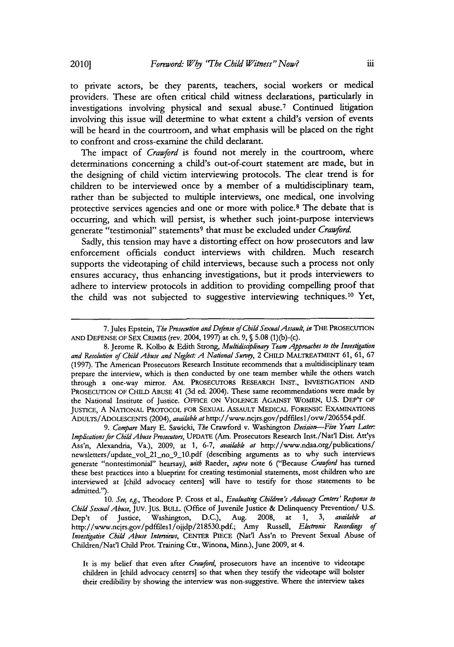to private actors, be they parents, teachers, social workers or medical providers. These are often critical child witness declarations, particularly in investigations involving physical and sexual abuse.7 Continued litigation involving this issue will determine to what extent a child's version of events will be heard in the courtroom, and what emphasis will be placed on the right to confront and cross-examine the child declarant.

The impact of *Crawford* is found not merely in the courtroom, where determinations concerning a child's out-of-court statement are made, but in the designing of child victim interviewing protocols. The clear trend is for children to be interviewed once **by** a member of a multidisciplinary team, rather than **be** subjected to multiple interviews, one medical, one involving protective services agencies and one or more with police.8 The debate that is occurring, and which will persist, is whether such joint-purpose interviews generate "testimonial" statements<sup>9</sup> that must be excluded under *Crawford*.

Sadly, this tension may have a distorting effect on how prosecutors and law enforcement officials conduct interviews with children. Much research supports the videotaping of child interviews, because such a process not only ensures accuracy, thus enhancing investigations, but it prods interviewers to adhere to interview protocols in addition to providing compelling proof that the child was not subjected to suggestive interviewing techniques.<sup>10</sup> Yet,

*9. Compare* Mary **E.** Sawicki, *The* Crawford v. Washington *Decision-Five Years Later Implications for ChildAbuse Prosecutors,* **UPDATE** (Am. Prosecutors Research Inst./Nat'l Dist. Att'ys Ass'n, Alexandria, Va.), **2009,** at **1,** *6-7, available at* http://www.ndaa.org/publications/ newsletters/update vol\_21\_no\_9\_10.pdf (describing arguments as to why such interviews generate "nontestimonial" hearsay), *with Raeder, supra* note **6** ("Because *Crawford* has turned these best practices into a blueprint for creating testimonial statements, most children who are interviewed at [child advocacy centers] will have to testify for those statements to be admitted.").

10. *See, e.g.*, Theodore P. Cross et al., *Evaluating Children's Advocacy Centers'* Response to *Child SexualAbuse,* **Juv. Jus.** BULL. (Office of Juvenile Justice **&** Delinquency Prevention/ **U.S.** Dep't of Justice, Washington, **D.C.),** Aug. **2008,** at **1, 3,** *available at* http://www.ncjrs.gov/pdffilesl/ojjdp/218530.pdf.; Amy Russell, *Electronic Recordings of Investigative Child Abuse Interviews,* **CENTER PIECE** (Nat'l Ass'n to Prevent Sexual Abuse of Children/Nat'l Child Prot. Training Ctr., Winona, Minn.), June **2009,** at 4.

It is my belief that even after *Crawford,* prosecutors have an incentive to videotape children in [child advocacy centers] so that when they testify the videotape will bolster their credibility **by** showing the interview was non-suggestive. Where the interview takes

**<sup>7.</sup>** Jules Epstein, *The Prosecution and Defense of Child SexualAssault, in* THE PROSECUTION **AND DEFENSE OF SEX CRIMES** (rev. **2004, 1997)** at ch. **9, § 5.08** (1)(b)-(c).

**<sup>8.</sup>** Jerome R. Kolbo **&** Edith Strong, *Muldisailinary Team Approaches to the Investigation and Resolution of Child Abuse and Neglect A National Survy,* 2 **CHILD MALTREATMENT 61, 61, 67 (1997).** The American Prosecutors Research Institute recommends that a multidisciplinary team prepare the interview, which is then conducted **by** one team member while the others watch through a one-way mirror. AM. **PROSECUTORS RESEARCH INST., INVESTIGATION AND PROSECUTION** OF CHILD **ABUSE** 41 **(3d** ed. 2004). These same recommendations were made **by** the National Institute of Justice. OFFICE **ON VIOLENCE AGAINST** WOMEN, **U.S.** DEP'r OF JUSTICE, **A** NATIONAL PROTOCOL FOR **SEXUAL ASSAULT** MEDICAL FORENSIC **EXAMINATIONS** ADULTs/ADOLESCENTs (2004), *available at* http://www.ncjrs.gov/pdffilesl/ovw/206554.pdf.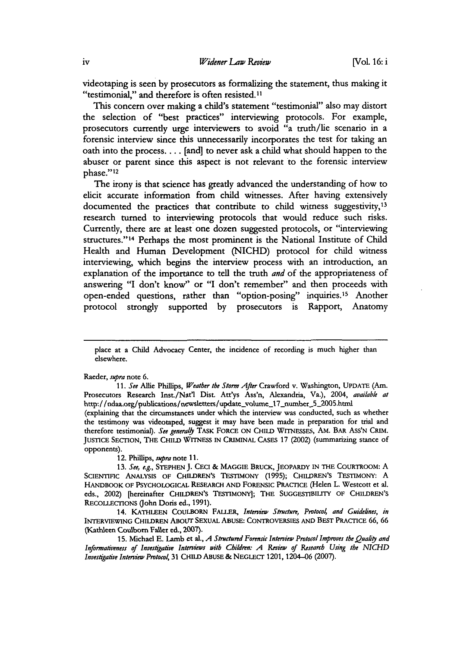videotaping is seen **by** prosecutors as formalizing the statement, thus making it "testimonial," and therefore is often resisted.<sup>11</sup>

This concern over making a child's statement "testimonial" also may distort the selection of "best practices" interviewing protocols. For example, prosecutors currently urge interviewers to avoid "a truth/lie scenario in a forensic interview since this unnecessarily incorporates the test for taking an oath into the process.... [and] to never ask a child what should happen to the abuser or parent since this aspect is not relevant to the forensic interview phase."<sup>12</sup>

The irony is that science has greatly advanced the understanding of how to elicit accurate information from child witnesses. After having extensively documented the practices that contribute to child witness suggestivity,<sup>13</sup> research turned to interviewing protocols that would reduce such risks. Currently, there are at least one dozen suggested protocols, or "interviewing structures."<sup>14</sup> Perhaps the most prominent is the National Institute of Child Health and Human Development **(NICHD)** protocol for child witness interviewing, which begins the interview process with an introduction, an explanation of the importance to tell the truth *and* of the appropriateness of answering **"I** don't know" or **"I** don't remember" and then proceeds with open-ended questions, rather than "option-posing" inquiries.<sup>15</sup> Another protocol strongly supported **by** prosecutors is Rapport, Anatomy

Raeder, supra note **6.**

opponents).

*11. See* Allie Phillips, *Weather the Storm After* Crawford v. Washington, **UPDATE** (Am. Prosecutors Research Inst./Nat'l Dist. Att'ys Ass'n, Alexandria, Va.), 2004, *available at* http://ndaa.org/publications/newsletters/update\_volume\_17\_number\_5\_2005.html (explaining that the circumstances under which the interview was conducted, such as whether the testimony was videotaped, suggest it may have been made in preparation for trial and therefore testimonial). See generally TASK FORCE ON CHILD WITNESSES, AM. BAR ASS'N CRIM. **JUSTICE SECTION, THE CHILD WITNESS** IN **CRIMINAL CASES 17** (2002) (summarizing stance of

12. Phillips, *smpra note* **11.**

*13. See, e.g.,* **STEPHEN J. CECI & MAGGIE BRUCK, JEOPARDY IN THE COURTROOM: A SCIENTIFIC ANALYSIS OF CHILDREN'S TESTIMONY (1995); CHILDREN'S TESTIMONY: A HANDBOOK OF PSYCHOLOGICAL RESEARCH AND FORENSIC PRACTICE** (Helen L. Westcott et al. eds., 2002) [hereinafter **CHILDREN'S TESTIMONY]; THE SUGGESTIBILITY OF CHILDREN'S RECOLLECTIONs** (John Doris ed., **1991).**

14. KATHLEEN COULBORN FALLER, *Interview Structure*, Protocol, and Guidelines, in **INTERVIEWING CHILDREN ABOUT SEXUAL ABUSE: CONTROVERSIES AND BEST PRACTICE 66, 66** (Kathleen Coulborn Faller ed., **2007).**

**15.** Michael **E.** Lamb et al., *A Structured Forensic Interview Protocol Improves the Quahy and Informativeness of Investigatiw Intenries with Children: A Review of Research Using the NICHD Investigative Inteniew Protocol,* **31 CHILD ABUSE & NEGLECT** 1201, 1204-06 **(2007).**

place at a Child Advocacy Center, the incidence of recording is much higher than elsewhere.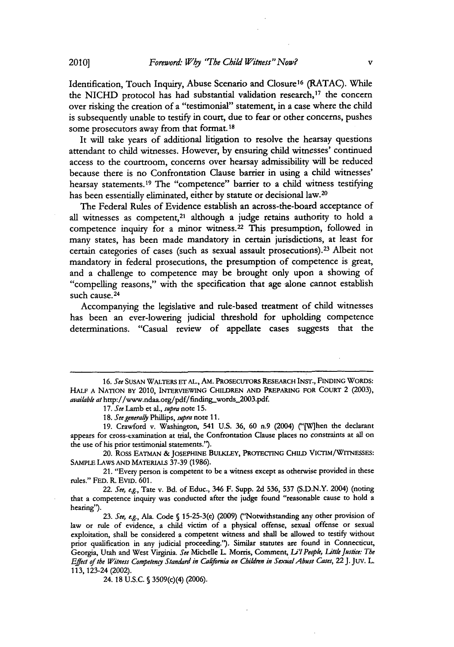Identification, Touch Inquiry, Abuse Scenario and Closure<sup>16</sup> (RATAC). While the NICHD protocol has had substantial validation research,<sup>17</sup> the concern over risking the creation of a "testimonial" statement, in a case where the child is subsequently unable to testify in court, due to fear or other concerns, pushes some prosecutors away from that format.<sup>18</sup>

It will take years of additional litigation to resolve the hearsay questions attendant to child witnesses. However, **by** ensuring child witnesses' continued access to the courtroom, concerns over hearsay admissibility will be reduced because there is no Confrontation Clause barrier in using a child witnesses' hearsay statements.<sup>19</sup> The "competence" barrier to a child witness testifying has been essentially eliminated, either **by** statute or decisional law.<sup>20</sup>

The Federal Rules of Evidence establish an across-the-board acceptance of all witnesses as competent,<sup>21</sup> although a judge retains authority to hold a competence inquiry for a minor witness.22 This presumption, followed in many states, has been made mandatory in certain jurisdictions, at least for certain categories of cases (such as sexual assault prosecutions).<sup>23</sup> Albeit not mandatory in federal prosecutions, the presumption of competence is great, and a challenge to competence may be brought only upon a showing of "compelling reasons," with the specification that age alone cannot establish such cause. **24**

Accompanying the legislative and rule-based treatment of child witnesses has been an ever-lowering judicial threshold for upholding competence determinations. "Casual review of appellate cases suggests that the

*17. See* Lamb et al., *supra note* **15.**

18. See generally Phillips, supra note 11.

**19.** Crawford v. Washington, 541 **U.S. 36, 60** n.9 (2004) ("(Wlhen the declarant appears for cross-examination at trial, the Confrontation Clause places no constraints at all on the use of his prior testimonial statements.").

20. Ross EATMAN **& JOSEPHINE BULKLEY, PROTECTING CHILD** VIcTIM/WITNESSES: **SAMPLE LAWS AND MATERIALs 37-39 (1986).**

21. "Every person is competent to **be** a witness except as otherwise provided in these rules." **FED.** R. **EVID. 601.**

*22. See, e.g.,* Tate v. Bd. of Educ., 346 F. Supp. **2d 536, 537 (S.D.N.Y.** 2004) (noting that a competence inquiry was conducted after the judge found "reasonable cause to hold a hearing").

*23. See, e.g.,* Ala. Code **§** 15-25-3(e) **(2009)** ("Notwithstanding any other provision of law or rule of evidence, a child victim of a physical offense, sexual offense or sexual exploitation, shall be considered a competent witness and shall be allowed to testify without prior qualification in any judicial proceeding."). Similar statutes are found in Connecticut, Georgia, Utah and West Virginia. See Michelle L. Morris, Comment, Li'l People, Little Justice: The *Effect of the Witness Corpetengy Standard in Cakfomia on Children in SexnalAbuse Cases, 22* **J.** Juv. L. 113, 123-24 (2002).

24. 18 **U.S.C.** *§* 3509(c)(4) **(2006).**

*<sup>16.</sup> See* SusAN **WALTERS ET AL.,** AM. PROSECUTORs **RESEARCH** INsT., **FINDING** WORDS: **HALF A NATION BY** 2010, **INTERVIEWING CHILDREN AND PREPARING FOR COURT** 2 **(2003),** *available at* http://www.ndaa.org/pdf/finding-words.2003.pdf.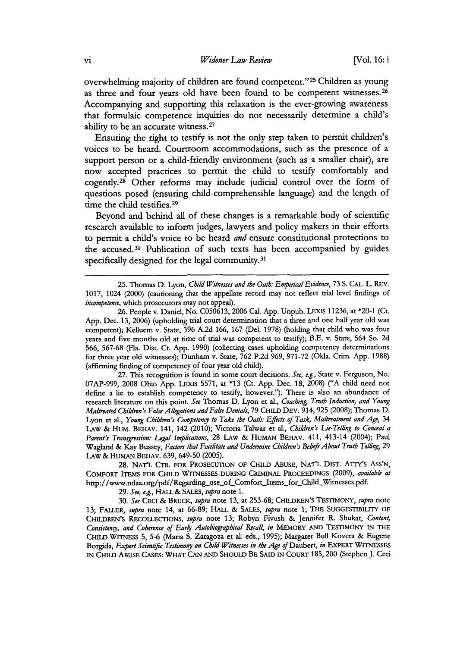overwhelming majority of children are found competent."25 Children as young as three and four years old have been found to be competent witnesses.<sup>26</sup> Accompanying and supporting this relaxation is the ever-growing awareness that formulaic competence inquiries do not necessarily determine a child's ability to be an accurate witness. <sup>27</sup>

Ensuring the right to testify is not the only step taken to permit children's voices to be heard. Courtroom accommodations, such as the presence of a support person or a child-friendly environment (such as a smaller chair), are now accepted practices to permit the child to testify comfortably and cogently. 28 Other reforms may include judicial control over the form of questions posed (ensuring child-comprehensible language) and the length of time the child testifies.<sup>29</sup>

Beyond and behind all of these changes is a remarkable body of scientific research available to inform judges, lawyers and policy makers in their efforts to permit a child's voice to be heard *and* ensure constitutional protections to the accused.30 Publication of such texts has been accompanied **by** guides specifically designed for the legal community.<sup>31</sup>

**27.** This recognition is found in some court decisions. *See, e.g.,* State v. Ferguson, No. **07AP-999, 2008** Ohio **App.** LEXIs **5571,** at **\*13** (Ct. **App.** Dec. **18, 2008) ("A** child need not define a lie to establish competency to testify, however."). There is also an abundance of research literature on this point. *See* Thomas **D.** Lyon et al., *Coaching, Truth Induction, and Young Maltreated Children's False Allegations and False Denials,* **79** CHILD **DEV.** 914, **925 (2008);** Thomas **D.** Lyon et al., *Young Children's Competeny to Take the Oath: Effects of Task, Maltreatment and Age,* **<sup>34</sup>** LAW **&** HUM. BEHAV. 141, 142 (2010); Victoria Talwar et al., *Children's Lie-Teling to Conceal a Parent's Transgression: Legal Implications,* **28 LAW &** HUMAN BEHAv. 411, 413-14 (2004); Paul Wagland **&** Kay Bussey, *Factors that Facitate and Undermine Children's Bedefs About Truth Telking, 29* LAw **&** HUMAN **BEHAV. 639, 649-50 (2005).**

**28. NAT'L** *CTR.* FOR PROSECUTION OF **CHILD** ABUSE, **NAT'L** DIST. Arry's Ass'N, **COMFORT ITEMS** FOR **CHILD WITNESSES DURING CRIMINAL PROCEEDINGS (2009),** *available at* http://www.ndaa.org/pdf/Regarding\_use\_of\_Comfort\_Items\_for\_Child\_Witnesses.pdf.

*29. See, e.g.,* HALL **&** *SALES, supra note* **1.**

*30. See* **CECI &** *BRUCK, supra* note **13,** at **253-68;** CHILDREN'S **TESTIMONY,** *supra note* **13;** FALLER, *supra* note 14, at **66-89;** HALL **&** *SALES, supra note* **1;** THE **SUGGESTIBILITY OF** CHILDREN'S **RECOLLECTIONs,** *supra* note **13;** Robyn Fivush **&** Jennifer R. Shukat, *Content, Consiteng, and Coherence of Early Autobiographical Recall, in* **MEMORY AND TESTIMONY IN THE CHILD WrrNESS 5, 5-6** (Maria **S.** Zaragoza et al. eds., **1995);** Margaret Bull Kovera **&** Eugene Borgida, *Expert Scientific Testimony on Child Witnesses in the Age of Daubert, in EXPERT WITNESSES* **IN CHILD ABUSE CASES:** WHAT **CAN AND** SHOULD BE **SAID IN COURT 185,200** (Stephen **J.** Ceci

**<sup>25.</sup>** Thomas **D.** Lyon, Child *Witnesses and the Oath: EmpiricalEvidence,* **73 S. CAL. L. REV. 1017,** 1024 (2000) (cautioning that the appellate record may not reflect trial level findings of *incompetence,* which prosecutors may not appeal).

**<sup>26.</sup>** People v. Daniel, No. **C050613, 2006** Cal. **App.** Unpub. **LEXIS 11236,** at \*20-1 (Ct. **App.** Dec. **13, 2006)** (upholding trial court determination that a three and one half year old was competent); Kelluem v. State, **396 A.2d 166, 167 (Del. 1978)** (holding that child who was four years and five months old at time of trial was competent to testify); **13.E.** v. State, 564 So. **2d 566, 567-68** (Fla. Dist. Ct. **App. 1990)** (collecting cases upholding competency determinations for three year old witnesses); Dunham v. State, **762 P.2d 969, 971-72** (Okla. Crim. **App. 1988)** (affirming finding of competency of four year old child).